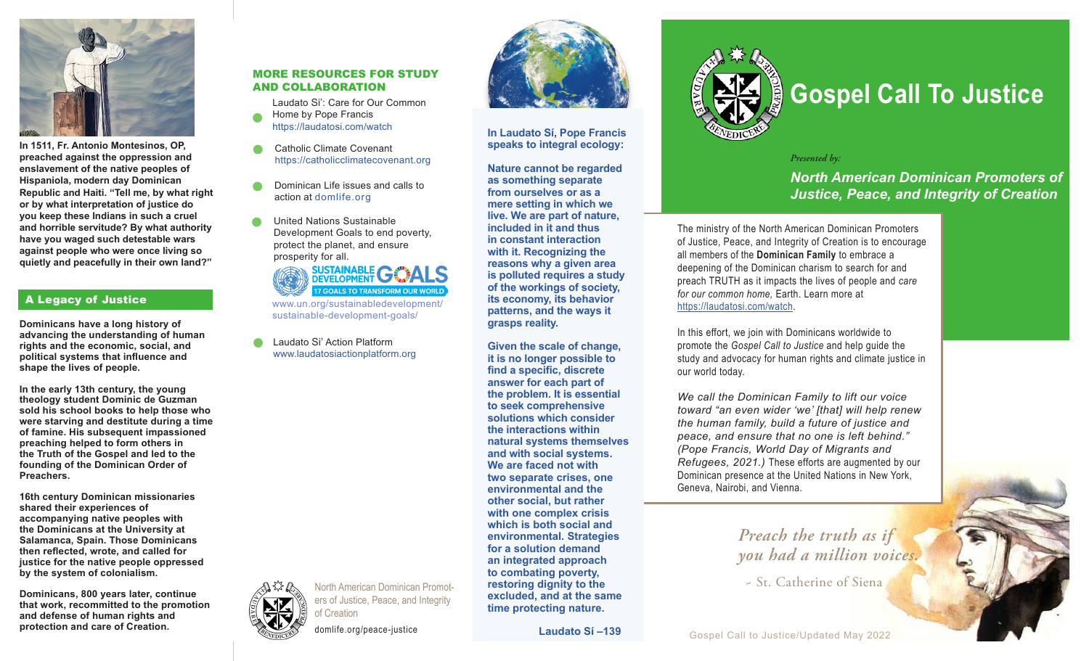

**In 1511, Fr. Antonio Montesinos, OP, preached against the oppression and enslavement of the native peoples of Hispaniola, modern day Dominican Republic and Haiti. "Tell me, by what right or by what interpretation of justice do you keep these Indians in such a cruel and horrible servitude? By what authority have you waged such detestable wars against people who were once living so quietly and peacefully in their own land?"**

# A Legacy of Justice

**Dominicans have a long history of advancing the understanding of human rights and the economic, social, and political systems that influence and shape the lives of people.** 

**In the early 13th century, the young theology student Dominic de Guzman sold his school books to help those who were starving and destitute during a time of famine. His subsequent impassioned preaching helped to form others in the Truth of the Gospel and led to the founding of the Dominican Order of Preachers.** 

**16th century Dominican missionaries shared their experiences of accompanying native peoples with the Dominicans at the University at Salamanca, Spain. Those Dominicans then reflected, wrote, and called for justice for the native people oppressed by the system of colonialism.** 

**Dominicans, 800 years later, continue that work, recommitted to the promotion and defense of human rights and protection and care of Creation.**

# MORE RESOURCES FOR STUDY AND COLLABORATION

Laudato Si': Care for Our Common

- Home by Pope Francis https://laudatosi.com/watch
- Catholic Climate Covenant https://catholicclimatecovenant.org *Presented by:*
- Dominican Life issues and calls to action at domlife.org
- United Nations Sustainable Development Goals to end poverty, protect the planet, and ensure prosperity for all.



North American Dominican Promoters of Justice, Peace, and Integrity

domlife.org/peace-justice

of Creation

Laudato Si' Action Platform www.laudatosiactionplatform.org



#### **In Laudato Sí, Pope Francis speaks to integral ecology:**

**Nature cannot be regarded as something separate from ourselves or as a mere setting in which we live. We are part of nature, included in it and thus in constant interaction with it. Recognizing the reasons why a given area is polluted requires a study of the workings of society, its economy, its behavior patterns, and the ways it grasps reality.** 

**Given the scale of change, it is no longer possible to find a specific, discrete answer for each part of the problem. It is essential to seek comprehensive solutions which consider the interactions within natural systems themselves and with social systems. We are faced not with two separate crises, one environmental and the other social, but rather with one complex crisis which is both social and environmental. Strategies for a solution demand an integrated approach to combating poverty, restoring dignity to the excluded, and at the same time protecting nature.** 

 **Laudato Sí –139**



# **Gospel Call To Justice**

*North American Dominican Promoters of Justice, Peace, and Integrity of Creation*

The ministry of the North American Dominican Promoters of Justice, Peace, and Integrity of Creation is to encourage all members of the **Dominican Family** to embrace a deepening of the Dominican charism to search for and preach TRUTH as it impacts the lives of people and *care for our common home,* Earth. Learn more at https://laudatosi.com/watch.

In this effort, we join with Dominicans worldwide to promote the *Gospel Call to Justice* and help guide the study and advocacy for human rights and climate justice in our world today.

*We call the Dominican Family to lift our voice toward "an even wider 'we' [that] will help renew the human family, build a future of justice and peace, and ensure that no one is left behind." (Pope Francis, World Day of Migrants and Refugees, 2021.)* These efforts are augmented by our Dominican presence at the United Nations in New York, Geneva, Nairobi, and Vienna.

> *Preach the truth as if you had a million voices.*

~ St. Catherine of Siena